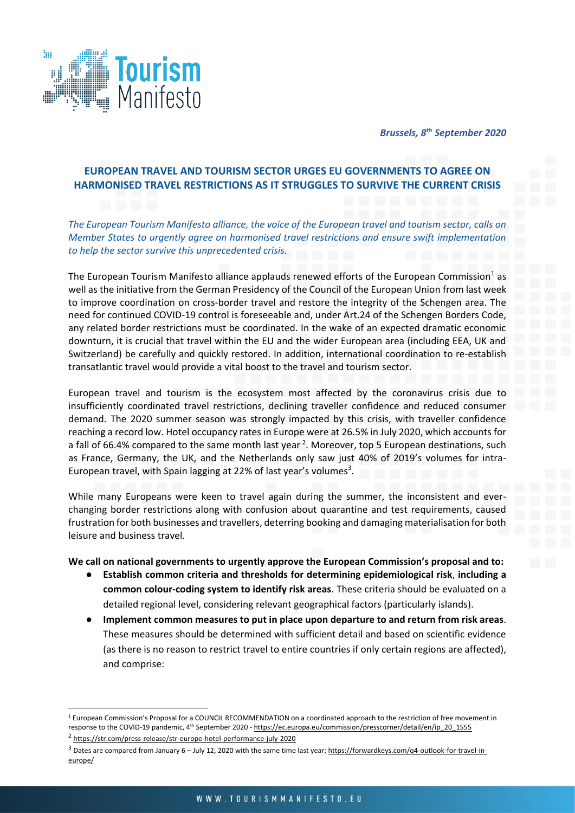

*Brussels, 8 th September 2020*

## **EUROPEAN TRAVEL AND TOURISM SECTOR URGES EU GOVERNMENTS TO AGREE ON HARMONISED TRAVEL RESTRICTIONS AS IT STRUGGLES TO SURVIVE THE CURRENT CRISIS**

*The European Tourism Manifesto alliance, the voice of the European travel and tourism sector, calls on Member States to urgently agree on harmonised travel restrictions and ensure swift implementation to help the sector survive this unprecedented crisis.* 

The European Tourism Manifesto alliance applauds renewed efforts of the European Commission<sup>1</sup> as well as the initiative from the German Presidency of the Council of the European Union from last week to improve coordination on cross-border travel and restore the integrity of the Schengen area. The need for continued COVID-19 control is foreseeable and, under Art.24 of the Schengen Borders Code, any related border restrictions must be coordinated. In the wake of an expected dramatic economic downturn, it is crucial that travel within the EU and the wider European area (including EEA, UK and Switzerland) be carefully and quickly restored. In addition, international coordination to re-establish transatlantic travel would provide a vital boost to the travel and tourism sector.

European travel and tourism is the ecosystem most affected by the coronavirus crisis due to insufficiently coordinated travel restrictions, declining traveller confidence and reduced consumer demand. The 2020 summer season was strongly impacted by this crisis, with traveller confidence reaching a record low. Hotel occupancy rates in Europe were at 26.5% in July 2020, which accounts for a fall of 66.4% compared to the same month last year <sup>2</sup>. Moreover, top 5 European destinations, such as France, Germany, the UK, and the Netherlands only saw just 40% of 2019's volumes for intra-European travel, with Spain lagging at 22% of last year's volumes<sup>3</sup>.

While many Europeans were keen to travel again during the summer, the inconsistent and everchanging border restrictions along with confusion about quarantine and test requirements, caused frustration for both businesses and travellers, deterring booking and damaging materialisation for both leisure and business travel.

## **We call on national governments to urgently approve the European Commission's proposal and to:**

- **Establish common criteria and thresholds for determining epidemiological risk**, **including a common colour-coding system to identify risk areas**. These criteria should be evaluated on a detailed regional level, considering relevant geographical factors (particularly islands).
- **Implement common measures to put in place upon departure to and return from risk areas**. These measures should be determined with sufficient detail and based on scientific evidence (as there is no reason to restrict travel to entire countries if only certain regions are affected), and comprise:

<sup>&</sup>lt;sup>1</sup> European Commission's Proposal for a COUNCIL RECOMMENDATION on a coordinated approach to the restriction of free movement in response to the COVID-19 pandemic, 4<sup>th</sup> September 2020 - [https://ec.europa.eu/commission/presscorner/detail/en/ip\\_20\\_1555](https://ec.europa.eu/commission/presscorner/detail/en/ip_20_1555)

<sup>2</sup> <https://str.com/press-release/str-europe-hotel-performance-july-2020>

<sup>&</sup>lt;sup>3</sup> Dates are compared from January 6 – July 12, 2020 with the same time last year; [https://forwardkeys.com/q4-outlook-for-travel-in](https://forwardkeys.com/q4-outlook-for-travel-in-europe/)[europe/](https://forwardkeys.com/q4-outlook-for-travel-in-europe/)